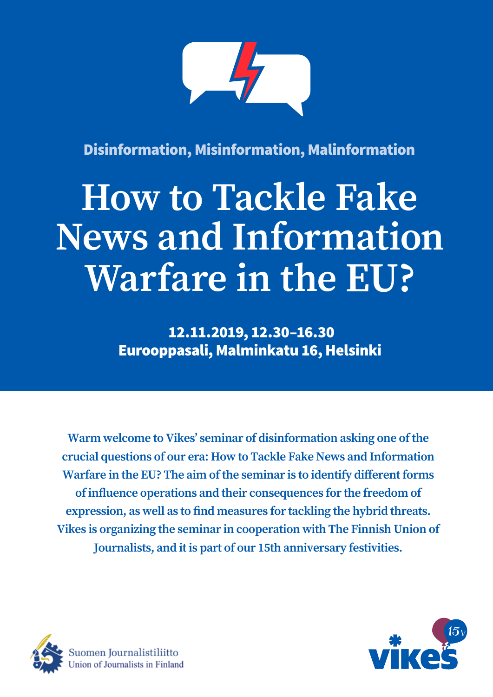

Disinformation, Misinformation, Malinformation

# **How to Tackle Fake News and Information Warfare in the EU?**

 12.11.2019, 12.30–16.30 Eurooppasali, Malminkatu 16, Helsinki

**Warm welcome to Vikes' seminar of disinformation asking one of the crucial questions of our era: How to Tackle Fake News and Information Warfare in the EU? The aim of the seminar is to identify different forms of influence operations and their consequences for the freedom of expression, as well as to find measures for tackling the hybrid threats. Vikes is organizing the seminar in cooperation with The Finnish Union of Journalists, and it is part of our 15th anniversary festivities.**